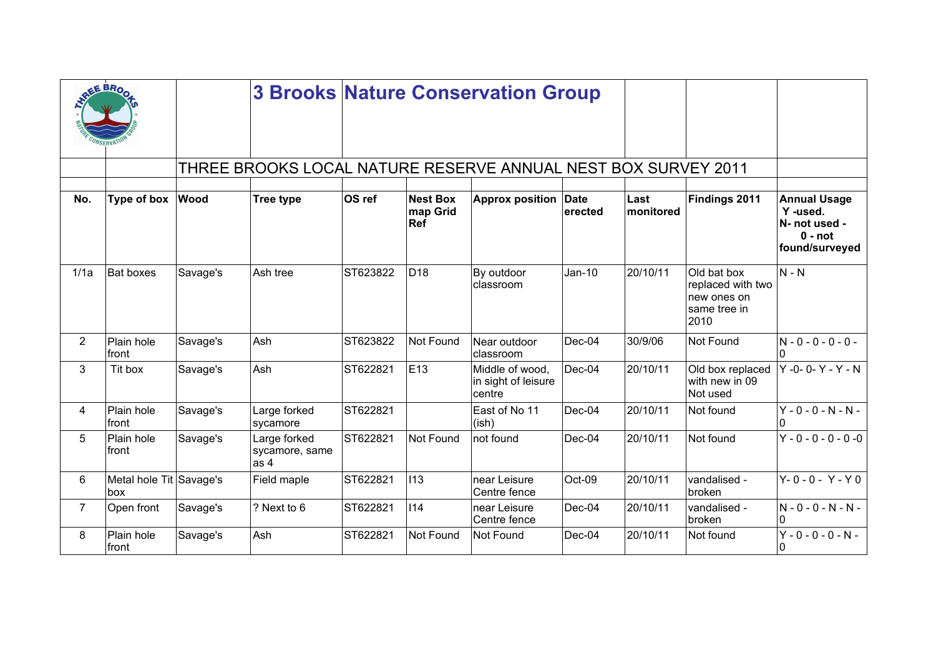| <b>REE BROO</b> |                                |          | <b>3 Brooks Nature Conservation Group</b>                     |          |                                    |                                                  |                        |                   |                                                                         |                                                                                |
|-----------------|--------------------------------|----------|---------------------------------------------------------------|----------|------------------------------------|--------------------------------------------------|------------------------|-------------------|-------------------------------------------------------------------------|--------------------------------------------------------------------------------|
|                 |                                |          | THREE BROOKS LOCAL NATURE RESERVE ANNUAL NEST BOX SURVEY 2011 |          |                                    |                                                  |                        |                   |                                                                         |                                                                                |
| No.             | Type of box                    | Wood     | <b>Tree type</b>                                              | OS ref   | <b>Nest Box</b><br>map Grid<br>Ref | <b>Approx position</b>                           | <b>Date</b><br>erected | Last<br>monitored | Findings 2011                                                           | <b>Annual Usage</b><br>Y-used.<br>N- not used -<br>$0 - not$<br>found/surveyed |
| 1/1a            | <b>Bat boxes</b>               | Savage's | Ash tree                                                      | ST623822 | D <sub>18</sub>                    | By outdoor<br>classroom                          | $Jan-10$               | 20/10/11          | Old bat box<br>replaced with two<br>new ones on<br>same tree in<br>2010 | $N - N$                                                                        |
| $\overline{2}$  | Plain hole<br>front            | Savage's | Ash                                                           | ST623822 | Not Found                          | Near outdoor<br>classroom                        | Dec-04                 | 30/9/06           | Not Found                                                               | $N - 0 - 0 - 0 - 0 -$<br><sup>0</sup>                                          |
| 3               | Tit box                        | Savage's | Ash                                                           | ST622821 | E <sub>13</sub>                    | Middle of wood,<br>in sight of leisure<br>centre | Dec-04                 | 20/10/11          | Old box replaced<br>with new in 09<br>Not used                          | $Y - 0 - 0 - Y - Y - N$                                                        |
| 4               | Plain hole<br>front            | Savage's | Large forked<br>sycamore                                      | ST622821 |                                    | East of No 11<br>(ish)                           | Dec-04                 | 20/10/11          | Not found                                                               | $Y - 0 - 0 - N - N -$<br>0                                                     |
| 5               | Plain hole<br>front            | Savage's | Large forked<br>sycamore, same<br>las 4                       | ST622821 | Not Found                          | not found                                        | Dec-04                 | 20/10/11          | Not found                                                               | $Y - 0 - 0 - 0 - 0 - 0$                                                        |
| 6               | Metal hole Tit Savage's<br>box |          | Field maple                                                   | ST622821 | 113                                | near Leisure<br>Centre fence                     | Oct-09                 | 20/10/11          | vandalised -<br>broken                                                  | $Y - 0 - 0 - Y - Y 0$                                                          |
| $\overline{7}$  | Open front                     | Savage's | ? Next to 6                                                   | ST622821 | 114                                | near Leisure<br>Centre fence                     | Dec-04                 | 20/10/11          | vandalised -<br>broken                                                  | $N - 0 - 0 - N - N -$<br>0                                                     |
| 8               | Plain hole<br>front            | Savage's | Ash                                                           | ST622821 | Not Found                          | Not Found                                        | Dec-04                 | 20/10/11          | Not found                                                               | $Y - 0 - 0 - 0 - N -$<br>0                                                     |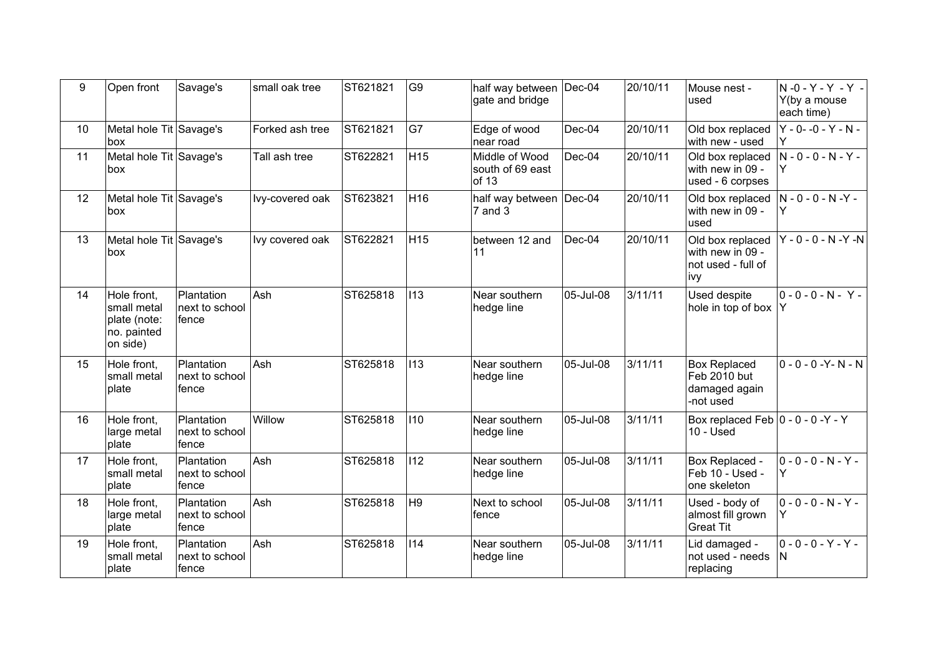| 9  | Open front                                                            | Savage's                              | small oak tree  | ST621821 | G <sub>9</sub>  | half way between   Dec-04<br>gate and bridge |           | 20/10/11 | Mouse nest -<br>used                                              | $N - 0 - Y - Y - Y -$<br>Y(by a mouse<br>each time) |
|----|-----------------------------------------------------------------------|---------------------------------------|-----------------|----------|-----------------|----------------------------------------------|-----------|----------|-------------------------------------------------------------------|-----------------------------------------------------|
| 10 | Metal hole Tit Savage's<br>box                                        |                                       | Forked ash tree | ST621821 | G7              | Edge of wood<br>near road                    | Dec-04    | 20/10/11 | Old box replaced<br>with new - used                               | $Y - 0 - 0 - Y - N -$                               |
| 11 | Metal hole Tit Savage's<br>box                                        |                                       | Tall ash tree   | ST622821 | H <sub>15</sub> | Middle of Wood<br>south of 69 east<br>of 13  | Dec-04    | 20/10/11 | Old box replaced<br>with new in 09 -<br>used - 6 corpses          | $N - 0 - 0 - N - Y -$                               |
| 12 | Metal hole Tit Savage's<br>box                                        |                                       | Ivy-covered oak | ST623821 | H <sub>16</sub> | half way between   Dec-04<br>$7$ and $3$     |           | 20/10/11 | Old box replaced<br>with new in 09 -<br>used                      | $N - 0 - 0 - N - Y -$                               |
| 13 | Metal hole Tit Savage's<br>box                                        |                                       | Ivy covered oak | ST622821 | H <sub>15</sub> | between 12 and<br>11                         | Dec-04    | 20/10/11 | Old box replaced<br>with new in 09 -<br>not used - full of<br>ivy | $Y - 0 - 0 - N - Y - N$                             |
| 14 | Hole front,<br>small metal<br>plate (note:<br>no. painted<br>on side) | Plantation<br>next to school<br>fence | Ash             | ST625818 | 113             | Near southern<br>hedge line                  | 05-Jul-08 | 3/11/11  | Used despite<br>hole in top of box                                | $0 - 0 - 0 - N - Y -$<br>Y                          |
| 15 | Hole front.<br>small metal<br>plate                                   | Plantation<br>next to school<br>fence | Ash             | ST625818 | 113             | Near southern<br>hedge line                  | 05-Jul-08 | 3/11/11  | <b>Box Replaced</b><br>Feb 2010 but<br>damaged again<br>-not used | $ 0 - 0 - 0 - Y - N - N $                           |
| 16 | Hole front,<br>large metal<br>plate                                   | Plantation<br>next to school<br>fence | Willow          | ST625818 | 110             | Near southern<br>hedge line                  | 05-Jul-08 | 3/11/11  | Box replaced Feb $ 0 - 0 - 0 - Y - Y $<br>$10 -$ Used             |                                                     |
| 17 | Hole front,<br>small metal<br>plate                                   | Plantation<br>next to school<br>fence | Ash             | ST625818 | 112             | Near southern<br>hedge line                  | 05-Jul-08 | 3/11/11  | Box Replaced -<br>Feb 10 - Used -<br>one skeleton                 | $0 - 0 - 0 - N - Y -$<br>Y                          |
| 18 | Hole front.<br>large metal<br>plate                                   | Plantation<br>next to school<br>fence | Ash             | ST625818 | H <sub>9</sub>  | Next to school<br>fence                      | 05-Jul-08 | 3/11/11  | Used - body of<br>almost fill grown<br><b>Great Tit</b>           | $0 - 0 - 0 - N - Y -$<br>Y                          |
| 19 | Hole front,<br>small metal<br>plate                                   | Plantation<br>next to school<br>fence | Ash             | ST625818 | 114             | Near southern<br>hedge line                  | 05-Jul-08 | 3/11/11  | Lid damaged -<br>not used - needs<br>replacing                    | $ 0 - 0 - 0 - Y - Y -$<br>N                         |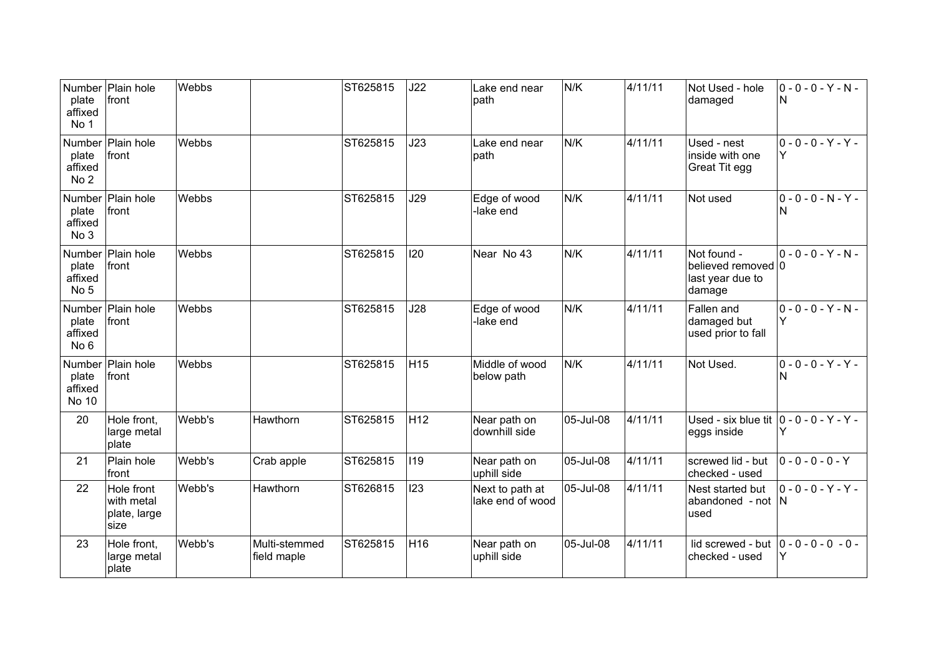| plate<br>affixed<br>No 1                      | Number Plain hole<br>front                       | Webbs  |                              | ST625815 | J22             | Lake end near<br>path               | N/K       | 4/11/11 | Not Used - hole<br>damaged                                      | $0 - 0 - 0 - Y - N -$<br>N |
|-----------------------------------------------|--------------------------------------------------|--------|------------------------------|----------|-----------------|-------------------------------------|-----------|---------|-----------------------------------------------------------------|----------------------------|
| plate<br>affixed<br>No <sub>2</sub>           | Number Plain hole<br>front                       | Webbs  |                              | ST625815 | J23             | Lake end near<br>path               | N/K       | 4/11/11 | Used - nest<br>inside with one<br>Great Tit egg                 | $0 - 0 - 0 - Y - Y -$<br>Y |
| plate<br>affixed<br>No 3                      | Number Plain hole<br>front                       | Webbs  |                              | ST625815 | J29             | Edge of wood<br>-lake end           | N/K       | 4/11/11 | Not used                                                        | $0 - 0 - 0 - N - Y -$<br>N |
| plate<br>affixed<br>No <sub>5</sub>           | Number Plain hole<br>front                       | Webbs  |                              | ST625815 | 120             | Near No 43                          | N/K       | 4/11/11 | Not found -<br>believed removed 0<br>last year due to<br>damage | $0 - 0 - 0 - Y - N -$      |
| Number<br>plate<br>affixed<br>No <sub>6</sub> | Plain hole<br>front                              | Webbs  |                              | ST625815 | J28             | Edge of wood<br>-lake end           | N/K       | 4/11/11 | Fallen and<br>damaged but<br>used prior to fall                 | $0 - 0 - 0 - Y - N -$<br>Y |
| plate<br>affixed<br>No 10                     | Number Plain hole<br>front                       | Webbs  |                              | ST625815 | H <sub>15</sub> | Middle of wood<br>below path        | N/K       | 4/11/11 | Not Used.                                                       | $0 - 0 - 0 - Y - Y -$<br>N |
| 20                                            | Hole front,<br>large metal<br>plate              | Webb's | Hawthorn                     | ST625815 | H <sub>12</sub> | Near path on<br>downhill side       | 05-Jul-08 | 4/11/11 | Used - six blue tit $ 0 - 0 - 0 - Y - Y -$<br>eggs inside       |                            |
| 21                                            | Plain hole<br>front                              | Webb's | Crab apple                   | ST625815 | 119             | Near path on<br>uphill side         | 05-Jul-08 | 4/11/11 | screwed lid - but<br>checked - used                             | $0 - 0 - 0 - 0 - Y$        |
| 22                                            | Hole front<br>with metal<br>plate, large<br>size | Webb's | Hawthorn                     | ST626815 | 123             | Next to path at<br>lake end of wood | 05-Jul-08 | 4/11/11 | Nest started but<br>abandoned - not $ N $<br>used               | $0 - 0 - 0 - Y - Y -$      |
| 23                                            | Hole front,<br>large metal<br>plate              | Webb's | Multi-stemmed<br>field maple | ST625815 | H <sub>16</sub> | Near path on<br>uphill side         | 05-Jul-08 | 4/11/11 | lid screwed - but $ 0 - 0 - 0 - 0 - 0 -$<br>checked - used      | Y                          |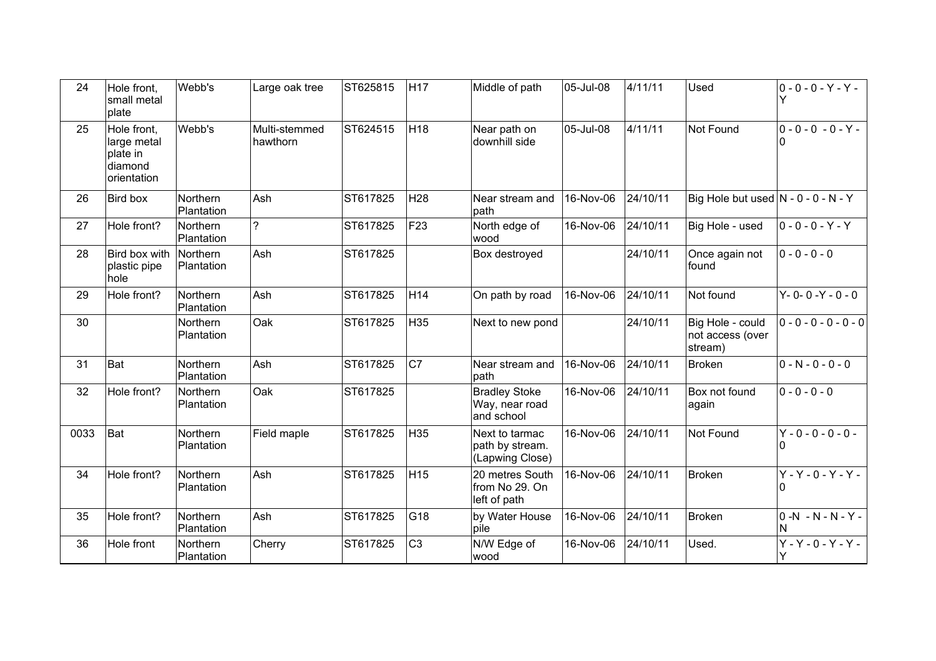| 24   | Hole front,<br>small metal<br>plate                              | Webb's                        | Large oak tree            | ST625815 | H <sub>17</sub> | Middle of path                                       | 05-Jul-08 | 4/11/11  | Used                                            | $0 - 0 - 0 - Y - Y -$             |
|------|------------------------------------------------------------------|-------------------------------|---------------------------|----------|-----------------|------------------------------------------------------|-----------|----------|-------------------------------------------------|-----------------------------------|
| 25   | Hole front,<br>large metal<br>plate in<br>diamond<br>orientation | Webb's                        | Multi-stemmed<br>hawthorn | ST624515 | H <sub>18</sub> | Near path on<br>downhill side                        | 05-Jul-08 | 4/11/11  | Not Found                                       | $0 - 0 - 0 - 0 - Y -$<br>$\Omega$ |
| 26   | Bird box                                                         | Northern<br>Plantation        | Ash                       | ST617825 | H <sub>28</sub> | Near stream and<br>path                              | 16-Nov-06 | 24/10/11 | Big Hole but used $ N - 0 - 0 - N - Y $         |                                   |
| 27   | Hole front?                                                      | Northern<br>Plantation        | $\overline{\phantom{a}}$  | ST617825 | F <sub>23</sub> | North edge of<br>wood                                | 16-Nov-06 | 24/10/11 | Big Hole - used                                 | $ 0 - 0 - 0 - Y - Y $             |
| 28   | Bird box with<br>plastic pipe<br>hole                            | Northern<br>Plantation        | Ash                       | ST617825 |                 | Box destroyed                                        |           | 24/10/11 | Once again not<br>found                         | $ 0 - 0 - 0 - 0 $                 |
| 29   | Hole front?                                                      | <b>Northern</b><br>Plantation | Ash                       | ST617825 | H14             | On path by road                                      | 16-Nov-06 | 24/10/11 | Not found                                       | $Y - 0 - 0 - Y - 0 - 0$           |
| 30   |                                                                  | <b>Northern</b><br>Plantation | Oak                       | ST617825 | H35             | Next to new pond                                     |           | 24/10/11 | Big Hole - could<br>not access (over<br>stream) | $0 - 0 - 0 - 0 - 0 - 0$           |
| 31   | Bat                                                              | <b>Northern</b><br>Plantation | Ash                       | ST617825 | C7              | Near stream and<br>path                              | 16-Nov-06 | 24/10/11 | <b>Broken</b>                                   | $0 - N - 0 - 0 - 0$               |
| 32   | Hole front?                                                      | Northern<br>Plantation        | Oak                       | ST617825 |                 | <b>Bradley Stoke</b><br>Way, near road<br>and school | 16-Nov-06 | 24/10/11 | Box not found<br>again                          | $0 - 0 - 0 - 0$                   |
| 0033 | Bat                                                              | Northern<br>Plantation        | Field maple               | ST617825 | H35             | Next to tarmac<br>path by stream.<br>(Lapwing Close) | 16-Nov-06 | 24/10/11 | Not Found                                       | $Y - 0 - 0 - 0 - 0 -$<br>$\Omega$ |
| 34   | Hole front?                                                      | Northern<br>Plantation        | Ash                       | ST617825 | H <sub>15</sub> | 20 metres South<br>from No 29. On<br>left of path    | 16-Nov-06 | 24/10/11 | <b>Broken</b>                                   | $Y - Y - 0 - Y - Y -$<br>0        |
| 35   | Hole front?                                                      | Northern<br>Plantation        | Ash                       | ST617825 | G18             | by Water House<br>pile                               | 16-Nov-06 | 24/10/11 | <b>Broken</b>                                   | $0 - N - N - N - Y -$<br>N        |
| 36   | Hole front                                                       | Northern<br>Plantation        | Cherry                    | ST617825 | C <sub>3</sub>  | N/W Edge of<br>wood                                  | 16-Nov-06 | 24/10/11 | Used.                                           | $Y - Y - 0 - Y - Y -$<br>Y        |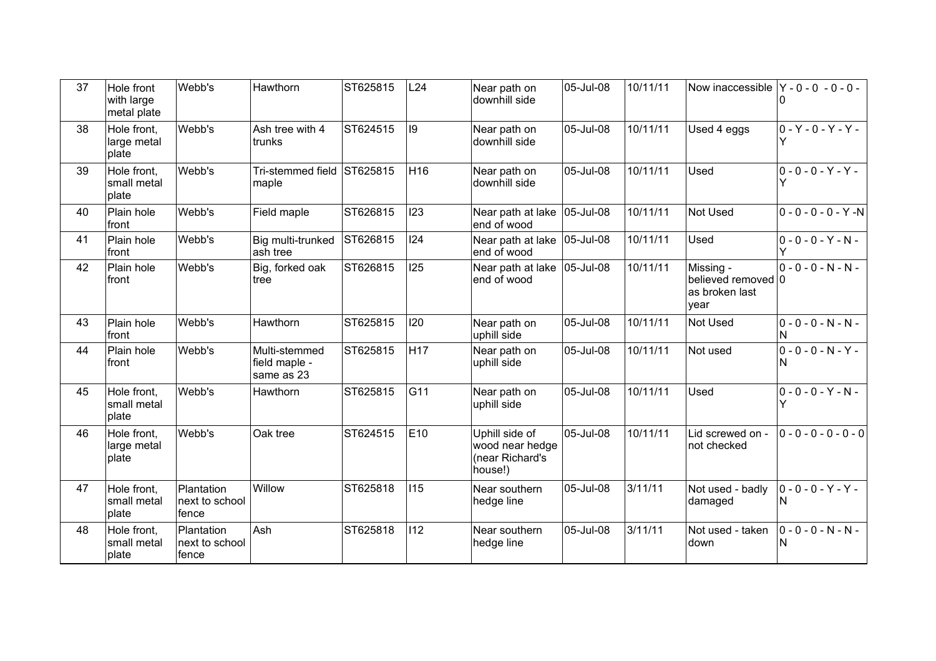| 37 | Hole front<br>with large<br>metal plate | Webb's                                | Hawthorn                                     | ST625815 | L24             | Near path on<br>downhill side                                   | 05-Jul-08 | 10/11/11 | Now inaccessible                                          | $Y - 0 - 0 - 0 - 0 -$       |
|----|-----------------------------------------|---------------------------------------|----------------------------------------------|----------|-----------------|-----------------------------------------------------------------|-----------|----------|-----------------------------------------------------------|-----------------------------|
| 38 | Hole front.<br>large metal<br>plate     | Webb's                                | Ash tree with 4<br>trunks                    | ST624515 | 19              | Near path on<br>downhill side                                   | 05-Jul-08 | 10/11/11 | Used 4 eggs                                               | $ 0 - Y - 0 - Y - Y -$      |
| 39 | Hole front,<br>small metal<br>plate     | Webb's                                | Tri-stemmed field ST625815<br>maple          |          | H <sub>16</sub> | Near path on<br>downhill side                                   | 05-Jul-08 | 10/11/11 | Used                                                      | $0 - 0 - 0 - Y - Y -$<br>Y  |
| 40 | Plain hole<br>front                     | Webb's                                | Field maple                                  | ST626815 | 123             | Near path at lake<br>end of wood                                | 05-Jul-08 | 10/11/11 | Not Used                                                  | $0 - 0 - 0 - 0 - Y - N$     |
| 41 | Plain hole<br>front                     | Webb's                                | Big multi-trunked<br>ash tree                | ST626815 | 124             | Near path at lake<br>end of wood                                | 05-Jul-08 | 10/11/11 | Used                                                      | $0 - 0 - 0 - Y - N -$<br>Y  |
| 42 | Plain hole<br>front                     | Webb's                                | Big, forked oak<br>tree                      | ST626815 | 125             | Near path at lake<br>end of wood                                | 05-Jul-08 | 10/11/11 | Missing -<br>believed removed 0<br>as broken last<br>year | $ 0 - 0 - 0 - N - N -$      |
| 43 | Plain hole<br>front                     | Webb's                                | Hawthorn                                     | ST625815 | 120             | Near path on<br>uphill side                                     | 05-Jul-08 | 10/11/11 | Not Used                                                  | $0 - 0 - 0 - N - N -$<br>N  |
| 44 | Plain hole<br>front                     | Webb's                                | Multi-stemmed<br>field maple -<br>same as 23 | ST625815 | H <sub>17</sub> | Near path on<br>uphill side                                     | 05-Jul-08 | 10/11/11 | Not used                                                  | $ 0 - 0 - 0 - N - Y -$<br>N |
| 45 | Hole front,<br>small metal<br>plate     | Webb's                                | Hawthorn                                     | ST625815 | G11             | Near path on<br>uphill side                                     | 05-Jul-08 | 10/11/11 | Used                                                      | $0 - 0 - 0 - Y - N -$<br>Y  |
| 46 | Hole front,<br>large metal<br>plate     | Webb's                                | Oak tree                                     | ST624515 | E10             | Uphill side of<br>wood near hedge<br>(near Richard's<br>house!) | 05-Jul-08 | 10/11/11 | Lid screwed on -<br>not checked                           | $0 - 0 - 0 - 0 - 0 - 0$     |
| 47 | Hole front,<br>small metal<br>plate     | Plantation<br>next to school<br>fence | Willow                                       | ST625818 | 115             | Near southern<br>hedge line                                     | 05-Jul-08 | 3/11/11  | Not used - badly<br>damaged                               | $0 - 0 - 0 - Y - Y -$<br>N  |
| 48 | Hole front,<br>small metal<br>plate     | Plantation<br>next to school<br>fence | Ash                                          | ST625818 | 112             | Near southern<br>hedge line                                     | 05-Jul-08 | 3/11/11  | Not used - taken<br>down                                  | $ 0 - 0 - 0 - N - N -$<br>N |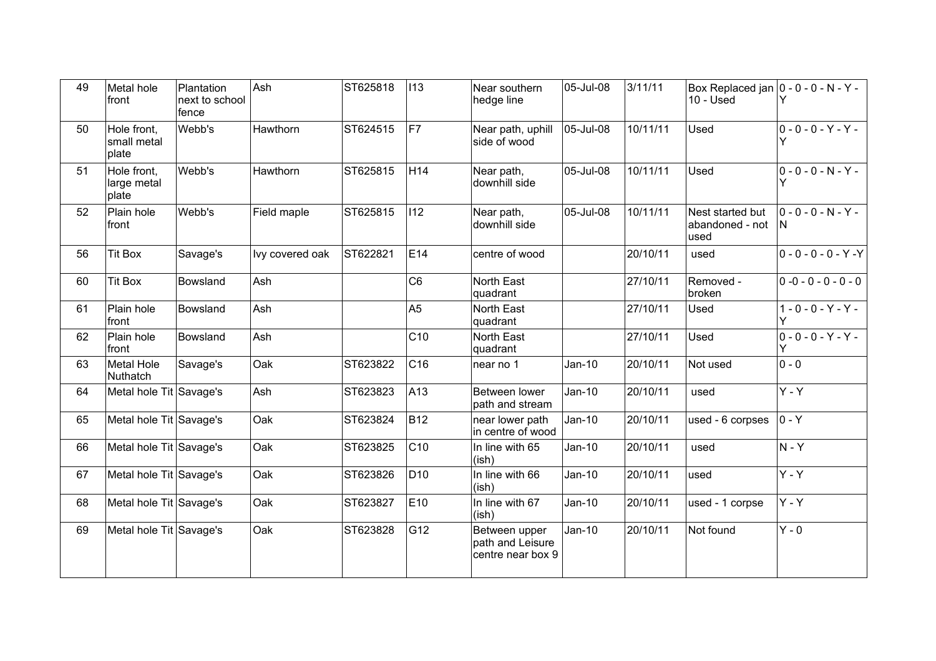| 49 | Metal hole<br>front                 | Plantation<br>next to school<br>fence | Ash             | ST625818 | $ 113\rangle$   | Near southern<br>hedge line                            | 05-Jul-08 | 3/11/11  | Box Replaced jan $ 0 - 0 - 0 - N - Y -$<br>$10 -$ Used |                             |
|----|-------------------------------------|---------------------------------------|-----------------|----------|-----------------|--------------------------------------------------------|-----------|----------|--------------------------------------------------------|-----------------------------|
| 50 | Hole front.<br>small metal<br>plate | Webb's                                | Hawthorn        | ST624515 | F7              | Near path, uphill<br>side of wood                      | 05-Jul-08 | 10/11/11 | Used                                                   | $0 - 0 - 0 - Y - Y -$       |
| 51 | Hole front.<br>large metal<br>plate | Webb's                                | Hawthorn        | ST625815 | H14             | Near path,<br>downhill side                            | 05-Jul-08 | 10/11/11 | Used                                                   | $0 - 0 - 0 - N - Y -$<br>Y  |
| 52 | Plain hole<br>front                 | Webb's                                | Field maple     | ST625815 | 112             | Near path,<br>downhill side                            | 05-Jul-08 | 10/11/11 | Nest started but<br>abandoned - not<br>used            | $0 - 0 - 0 - N - Y -$<br>N. |
| 56 | <b>Tit Box</b>                      | Savage's                              | Ivy covered oak | ST622821 | E14             | centre of wood                                         |           | 20/10/11 | used                                                   | $0 - 0 - 0 - 0 - Y - Y$     |
| 60 | Tit Box                             | Bowsland                              | Ash             |          | C <sub>6</sub>  | <b>North East</b><br>quadrant                          |           | 27/10/11 | Removed -<br>broken                                    | $0 - 0 - 0 - 0 - 0 - 0$     |
| 61 | Plain hole<br>front                 | Bowsland                              | Ash             |          | A <sub>5</sub>  | North East<br>quadrant                                 |           | 27/10/11 | Used                                                   | $1 - 0 - 0 - Y - Y -$<br>Y  |
| 62 | Plain hole<br>front                 | Bowsland                              | Ash             |          | C <sub>10</sub> | North East<br>quadrant                                 |           | 27/10/11 | Used                                                   | $0 - 0 - 0 - Y - Y -$<br>Y  |
| 63 | Metal Hole<br>Nuthatch              | Savage's                              | Oak             | ST623822 | C16             | near no 1                                              | $Jan-10$  | 20/10/11 | Not used                                               | $0 - 0$                     |
| 64 | Metal hole Tit Savage's             |                                       | Ash             | ST623823 | A13             | Between lower<br>path and stream                       | $Jan-10$  | 20/10/11 | used                                                   | $Y - Y$                     |
| 65 | Metal hole Tit Savage's             |                                       | Oak             | ST623824 | <b>B12</b>      | near lower path<br>in centre of wood                   | $Jan-10$  | 20/10/11 | used - 6 corpses                                       | $ 0 - Y $                   |
| 66 | Metal hole Tit Savage's             |                                       | Oak             | ST623825 | C10             | In line with 65<br>(ish)                               | Jan-10    | 20/10/11 | used                                                   | $N - Y$                     |
| 67 | Metal hole Tit Savage's             |                                       | Oak             | ST623826 | D <sub>10</sub> | In line with 66<br>(ish)                               | $Jan-10$  | 20/10/11 | used                                                   | $Y - Y$                     |
| 68 | Metal hole Tit Savage's             |                                       | Oak             | ST623827 | E10             | In line with 67<br>(ish)                               | $Jan-10$  | 20/10/11 | used - 1 corpse                                        | $Y - Y$                     |
| 69 | Metal hole Tit Savage's             |                                       | Oak             | ST623828 | G12             | Between upper<br>path and Leisure<br>centre near box 9 | $Jan-10$  | 20/10/11 | Not found                                              | $Y - 0$                     |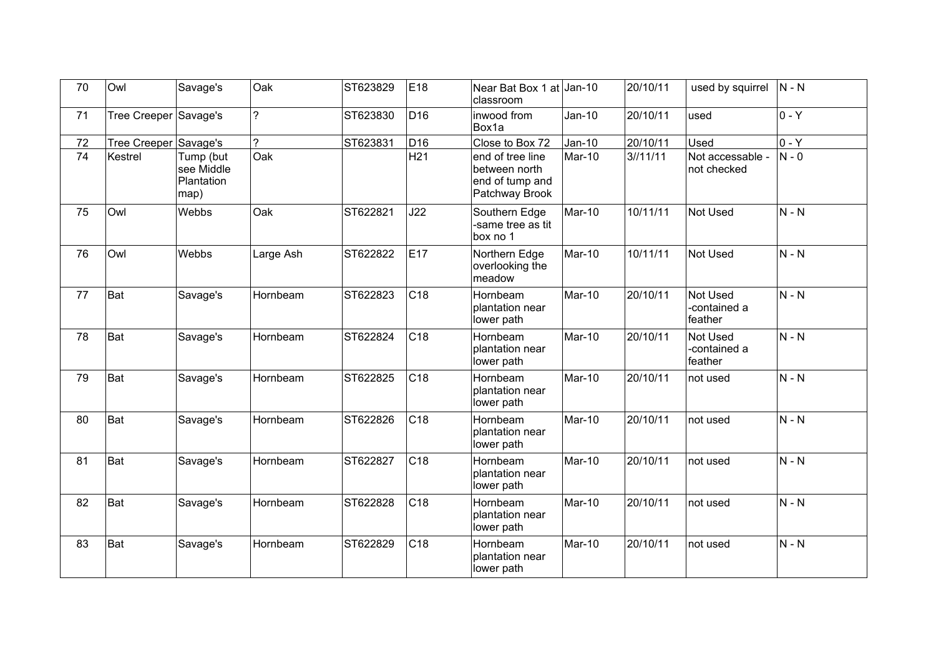| 70 | Owl                   | Savage's                                      | Oak            | ST623829 | E18             | Near Bat Box 1 at Jan-10<br>classroom                                  |          | 20/10/11 | used by squirrel                           | $N - N$   |
|----|-----------------------|-----------------------------------------------|----------------|----------|-----------------|------------------------------------------------------------------------|----------|----------|--------------------------------------------|-----------|
| 71 | Tree Creeper Savage's |                                               | $\overline{?}$ | ST623830 | D <sub>16</sub> | inwood from<br>Box1a                                                   | $Jan-10$ | 20/10/11 | used                                       | $ 0 - Y $ |
| 72 | Tree Creeper Savage's |                                               | $\gamma$       | ST623831 | D <sub>16</sub> | Close to Box 72                                                        | $Jan-10$ | 20/10/11 | Used                                       | $0 - Y$   |
| 74 | Kestrel               | Tump (but<br>see Middle<br>Plantation<br>map) | Oak            |          | H <sub>21</sub> | end of tree line<br>between north<br>end of tump and<br>Patchway Brook | Mar-10   | 3/11/11  | Not accessable -<br>not checked            | $N - 0$   |
| 75 | Owl                   | Webbs                                         | Oak            | ST622821 | J22             | Southern Edge<br>-same tree as tit<br>box no 1                         | Mar-10   | 10/11/11 | Not Used                                   | $N - N$   |
| 76 | Owl                   | Webbs                                         | Large Ash      | ST622822 | E17             | Northern Edge<br>overlooking the<br>meadow                             | Mar-10   | 10/11/11 | Not Used                                   | $N - N$   |
| 77 | Bat                   | Savage's                                      | Hornbeam       | ST622823 | C <sub>18</sub> | Hornbeam<br>plantation near<br>lower path                              | Mar-10   | 20/10/11 | Not Used<br>-contained a<br>feather        | $N - N$   |
| 78 | Bat                   | Savage's                                      | Hornbeam       | ST622824 | C <sub>18</sub> | Hornbeam<br>plantation near<br>lower path                              | Mar-10   | 20/10/11 | <b>Not Used</b><br>-contained a<br>feather | $N - N$   |
| 79 | Bat                   | Savage's                                      | Hornbeam       | ST622825 | C <sub>18</sub> | Hornbeam<br>plantation near<br>lower path                              | Mar-10   | 20/10/11 | not used                                   | $ N - N $ |
| 80 | Bat                   | Savage's                                      | Hornbeam       | ST622826 | C <sub>18</sub> | Hornbeam<br>plantation near<br>lower path                              | Mar-10   | 20/10/11 | not used                                   | $ N - N $ |
| 81 | Bat                   | Savage's                                      | Hornbeam       | ST622827 | C <sub>18</sub> | Hornbeam<br>plantation near<br>lower path                              | Mar-10   | 20/10/11 | not used                                   | $N - N$   |
| 82 | Bat                   | Savage's                                      | Hornbeam       | ST622828 | C <sub>18</sub> | Hornbeam<br>plantation near<br>lower path                              | Mar-10   | 20/10/11 | not used                                   | $N - N$   |
| 83 | Bat                   | Savage's                                      | Hornbeam       | ST622829 | C <sub>18</sub> | Hornbeam<br>plantation near<br>lower path                              | Mar-10   | 20/10/11 | not used                                   | $N - N$   |